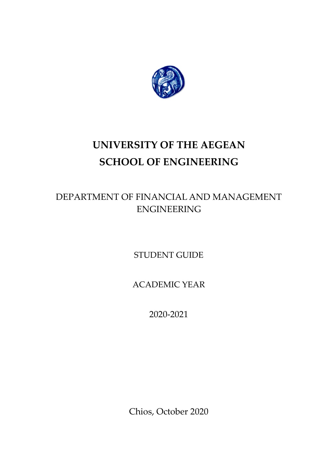

# **UNIVERSITY OF THE AEGEAN SCHOOL OF ENGINEERING**

# DEPARTMENT OF FINANCIAL AND MANAGEMENT ENGINEERING

STUDENT GUIDE

ACADEMIC YEAR

2020-2021

Chios, October 2020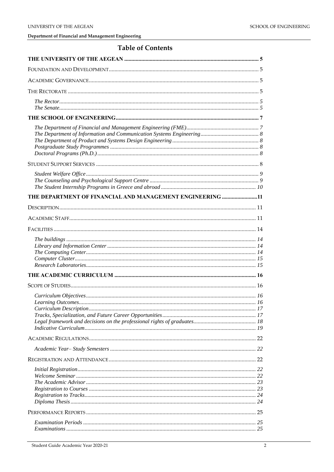# **Table of Contents**

| THE DEPARTMENT OF FINANCIAL AND MANAGEMENT ENGINEERING 11 |  |
|-----------------------------------------------------------|--|
|                                                           |  |
|                                                           |  |
|                                                           |  |
|                                                           |  |
|                                                           |  |
|                                                           |  |
|                                                           |  |
|                                                           |  |
|                                                           |  |
|                                                           |  |
|                                                           |  |
|                                                           |  |
|                                                           |  |
|                                                           |  |
|                                                           |  |
|                                                           |  |
|                                                           |  |
|                                                           |  |
|                                                           |  |
|                                                           |  |
|                                                           |  |
|                                                           |  |
|                                                           |  |
|                                                           |  |
|                                                           |  |
|                                                           |  |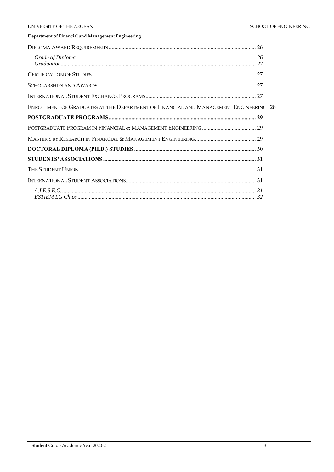| $\emph{Grade of Diploma} \normalsize\dots\normalsize\dots\normalsize\dots\normalsize\dots\normalsize\dots\normalsize\dots\normalsize\dots\normalsize\dots\normalsize\dots\normalsize\dots\normalsize\dots\normalsize\dots\normalsize\dots\normalsize\dots\normalsize\dots\normalsize\dots\normalsize\dots\normalsize\dots\normalsize\dots\normalsize\dots\normalsize\dots\normalsize\dots\normalsize\dots\normalsize\dots\normalsize\dots\normalsize\dots\normalsize\dots\normalsize\dots\normalsize\dots\normalsize\dots\normalsize\dots\normalsize\dots\normalsize\dots\normalsize\dots\normalsize\dots\$ |  |
|-------------------------------------------------------------------------------------------------------------------------------------------------------------------------------------------------------------------------------------------------------------------------------------------------------------------------------------------------------------------------------------------------------------------------------------------------------------------------------------------------------------------------------------------------------------------------------------------------------------|--|
|                                                                                                                                                                                                                                                                                                                                                                                                                                                                                                                                                                                                             |  |
|                                                                                                                                                                                                                                                                                                                                                                                                                                                                                                                                                                                                             |  |
|                                                                                                                                                                                                                                                                                                                                                                                                                                                                                                                                                                                                             |  |
| ENROLLMENT OF GRADUATES AT THE DEPARTMENT OF FINANCIAL AND MANAGEMENT ENGINEERING 28                                                                                                                                                                                                                                                                                                                                                                                                                                                                                                                        |  |
|                                                                                                                                                                                                                                                                                                                                                                                                                                                                                                                                                                                                             |  |
|                                                                                                                                                                                                                                                                                                                                                                                                                                                                                                                                                                                                             |  |
|                                                                                                                                                                                                                                                                                                                                                                                                                                                                                                                                                                                                             |  |
|                                                                                                                                                                                                                                                                                                                                                                                                                                                                                                                                                                                                             |  |
|                                                                                                                                                                                                                                                                                                                                                                                                                                                                                                                                                                                                             |  |
|                                                                                                                                                                                                                                                                                                                                                                                                                                                                                                                                                                                                             |  |
|                                                                                                                                                                                                                                                                                                                                                                                                                                                                                                                                                                                                             |  |
|                                                                                                                                                                                                                                                                                                                                                                                                                                                                                                                                                                                                             |  |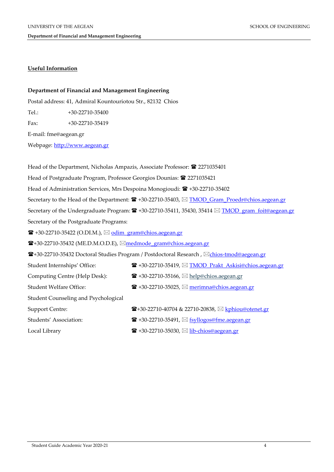# **Useful Information**

# **Department of Financial and Management Engineering**

Postal address: 41, Admiral Kountouriotou Str., 82132 Chios

Tel.: +30-22710-35400

Fax: +30-22710-35419

E-mail: fme@aegean.gr

Webpage: [http://www.aegean.gr](http://www.aegean.gr/)

| Head of the Department, Nicholas Ampazis, Associate Professor: <sup>22</sup> 2271035401 |                                                                                                                                   |  |  |  |  |
|-----------------------------------------------------------------------------------------|-----------------------------------------------------------------------------------------------------------------------------------|--|--|--|--|
| Head of Postgraduate Program, Professor Georgios Dounias: <sup>22</sup> 2271035421      |                                                                                                                                   |  |  |  |  |
| Head of Administration Services, Mrs Despoina Monogioudi: $\hat{B}$ +30-22710-35402     |                                                                                                                                   |  |  |  |  |
|                                                                                         | Secretary to the Head of the Department: $\mathbf{\hat{x}}$ +30-22710-35403, $\boxtimes$ TMOD Gram Proedr@chios.aegean.gr         |  |  |  |  |
|                                                                                         | Secretary of the Undergraduate Program: $\mathbf{\mathcal{F}}$ +30-22710-35411, 35430, 35414 $\boxtimes$ TMOD gram foit@aegean.gr |  |  |  |  |
| Secretary of the Postgraduate Programs:                                                 |                                                                                                                                   |  |  |  |  |
| $\mathbf{\widehat{m}}$ +30-22710-35422 (O.DI.M.), $\boxtimes$ odim_gram@chios.aegean.gr |                                                                                                                                   |  |  |  |  |
| <b>☎+30-22710-35432 (ME.D.M.O.D.E), <u>⊠medmode</u> gram@chios.aegean.gr</b>            |                                                                                                                                   |  |  |  |  |
|                                                                                         | <b>雷</b> +30-22710-35432 Doctoral Studies Program / Postdoctoral Research , ⊠ <u>chios-tmod@aegean.gr</u>                         |  |  |  |  |
| Student Internships' Office:                                                            | <sup>■</sup> +30-22710-35419, 図 TMOD_Prakt_Askisi@chios.aegean.gr                                                                 |  |  |  |  |
| Computing Centre (Help Desk):                                                           | $\mathbf{\widehat{m}}$ +30-22710-35166, $\boxtimes$ help@chios.aegean.gr                                                          |  |  |  |  |
| <b>Student Welfare Office:</b>                                                          | <b>■</b> +30-22710-35025, △ merimna@chios.aegean.gr                                                                               |  |  |  |  |
| Student Counseling and Psychological                                                    |                                                                                                                                   |  |  |  |  |
| <b>Support Centre:</b>                                                                  | <b>■+30-22710-40704 &amp; 22710-20838, ⊠ kphiou@otenet.gr</b>                                                                     |  |  |  |  |
| Students' Association:                                                                  | $\mathbf{F}$ +30-22710-35491, $\boxtimes$ fsyllogos@fme.aegean.gr                                                                 |  |  |  |  |
| Local Library                                                                           | <b>■</b> +30-22710-35030, △ lib-chios@aegean.gr                                                                                   |  |  |  |  |
|                                                                                         |                                                                                                                                   |  |  |  |  |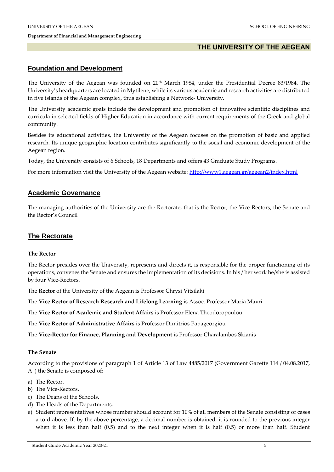# **THE UNIVERSITY OF THE AEGEAN**

# **Foundation and Development**

The University of the Aegean was founded on 20<sup>th</sup> March 1984, under the Presidential Decree 83/1984. The University's headquarters are located in Mytilene, while its various academic and research activities are distributed in five islands of the Aegean complex, thus establishing a Network- University.

The University academic goals include the development and promotion of innovative scientific disciplines and curricula in selected fields of Higher Education in accordance with current requirements of the Greek and global community.

Besides its educational activities, the University of the Aegean focuses on the promotion of basic and applied research. Its unique geographic location contributes significantly to the social and economic development of the Aegean region.

Today, the University consists of 6 Schools, 18 Departments and offers 43 Graduate Study Programs.

For more information visit the University of the Aegean website:<http://www1.aegean.gr/aegean2/index.html>

# **Academic Governance**

The managing authorities of the University are the Rectorate, that is the Rector, the Vice-Rectors, the Senate and the Rector's Council

# **The Rectorate**

#### **The Rector**

The Rector presides over the University, represents and directs it, is responsible for the proper functioning of its operations, convenes the Senate and ensures the implementation of its decisions. In his / her work he/she is assisted by four Vice-Rectors.

The **Rector** of the University of the Aegean is Professor Chrysi Vitsilaki

The **Vice Rector of Research Research and Lifelong Learning** is Assoc. Professor Maria Mavri

The **Vice Rector of Academic and Student Affairs** is Professor Elena Theodoropoulou

The **Vice Rector of Administrative Affairs** is Professor Dimitrios Papageorgiou

The **Vice-Rector for Finance, Planning and Development** is Professor Charalambos Skianis

#### **The Senate**

According to the provisions of paragraph 1 of Article 13 of Law 4485/2017 (Government Gazette 114 / 04.08.2017, A ') the Senate is composed of:

- a) The Rector.
- b) The Vice-Rectors.
- c) The Deans of the Schools.
- d) The Heads of the Departments.
- e) Student representatives whose number should account for 10% of all members of the Senate consisting of cases a to d above. If, by the above percentage, a decimal number is obtained, it is rounded to the previous integer when it is less than half (0,5) and to the next integer when it is half (0,5) or more than half. Student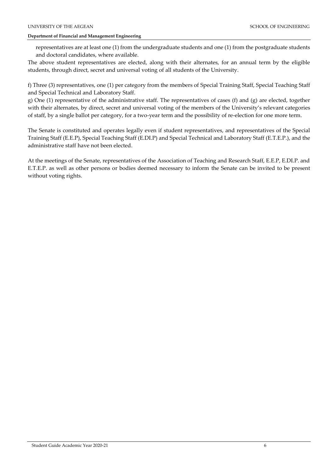representatives are at least one (1) from the undergraduate students and one (1) from the postgraduate students and doctoral candidates, where available.

The above student representatives are elected, along with their alternates, for an annual term by the eligible students, through direct, secret and universal voting of all students of the University.

f) Three (3) representatives, one (1) per category from the members of Special Training Staff, Special Teaching Staff and Special Technical and Laboratory Staff.

g) One (1) representative of the administrative staff. The representatives of cases (f) and (g) are elected, together with their alternates, by direct, secret and universal voting of the members of the University's relevant categories of staff, by a single ballot per category, for a two-year term and the possibility of re-election for one more term.

The Senate is constituted and operates legally even if student representatives, and representatives of the Special Training Staff (E.E.P), Special Teaching Staff (E.DI.P) and Special Technical and Laboratory Staff (E.T.E.P.), and the administrative staff have not been elected.

At the meetings of the Senate, representatives of the Association of Teaching and Research Staff, E.E.P, E.DI.P. and E.T.E.P. as well as other persons or bodies deemed necessary to inform the Senate can be invited to be present without voting rights.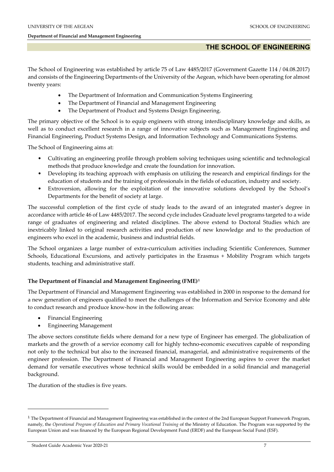# **THE SCHOOL OF ENGINEERING**

The School of Engineering was established by article 75 of Law 4485/2017 (Government Gazette 114 / 04.08.2017) and consists of the Engineering Departments of the University of the Aegean, which have been operating for almost twenty years:

- The Department of Information and Communication Systems Engineering
- The Department of Financial and Management Engineering
- The Department of Product and Systems Design Engineering.

The primary objective of the School is to equip engineers with strong interdisciplinary knowledge and skills, as well as to conduct excellent research in a range of innovative subjects such as Management Engineering and Financial Engineering, Product Systems Design, and Information Technology and Communications Systems.

The School of Engineering aims at:

- Cultivating an engineering profile through problem solving techniques using scientific and technological methods that produce knowledge and create the foundation for innovation.
- Developing its teaching approach with emphasis on utilizing the research and empirical findings for the education of students and the training of professionals in the fields of education, industry and society.
- Extroversion, allowing for the exploitation of the innovative solutions developed by the School's Departments for the benefit of society at large.

The successful completion of the first cycle of study leads to the award of an integrated master's degree in accordance with article 46 of Law 4485/2017. The second cycle includes Graduate level programs targeted to a wide range of graduates of engineering and related disciplines. The above extend to Doctoral Studies which are inextricably linked to original research activities and production of new knowledge and to the production of engineers who excel in the academic, business and industrial fields.

The School organizes a large number of extra-curriculum activities including Scientific Conferences, Summer Schools, Educational Excursions, and actively participates in the Erasmus + Mobility Program which targets students, teaching and administrative staff.

# **The Department of Financial and Management Engineering (FME)<sup>1</sup>**

The Department of Financial and Management Engineering was established in 2000 in response to the demand for a new generation of engineers qualified to meet the challenges of the Information and Service Economy and able to conduct research and produce know-how in the following areas:

- Financial Engineering
- Engineering Management

The above sectors constitute fields where demand for a new type of Engineer has emerged. The globalization of markets and the growth of a service economy call for highly techno-economic executives capable of responding not only to the technical but also to the increased financial, managerial, and administrative requirements of the engineer profession. The Department of Financial and Management Engineering aspires to cover the market demand for versatile executives whose technical skills would be embedded in a solid financial and managerial background.

The duration of the studies is five years.

 $\overline{a}$ 

 $1$  The Department of Financial and Management Engineering was established in the context of the 2nd European Support Framework Program, namely, the *Operational Program of Education and Primary Vocational Training* of the Ministry of Education. The Program was supported by the European Union and was financed by the European Regional Development Fund (ERDF) and the European Social Fund (ESF).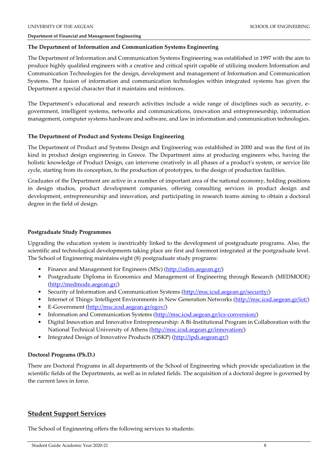#### **The Department of Information and Communication Systems Engineering**

The Department of Information and Communication Systems Engineering was established in 1997 with the aim to produce highly qualified engineers with a creative and critical spirit capable of utilizing modern Information and Communication Technologies for the design, development and management of Information and Communication Systems. The fusion of information and communication technologies within integrated systems has given the Department a special character that it maintains and reinforces.

The Department's educational and research activities include a wide range of disciplines such as security, egovernment, intelligent systems, networks and communications, innovation and entrepreneurship, information management, computer systems hardware and software, and law in information and communication technologies.

#### **The Department of Product and Systems Design Engineering**

The Department of Product and Systems Design and Engineering was established in 2000 and was the first of its kind in product design engineering in Greece. The Department aims at producing engineers who, having the holistic knowledge of Product Design, can intervene creatively in all phases of a product's system, or service life cycle, starting from its conception, to the production of prototypes, to the design of production facilities.

Graduates of the Department are active in a number of important area of the national economy, holding positions in design studios, product development companies, offering consulting services in product design and development, entrepreneurship and innovation, and participating in research teams aiming to obtain a doctoral degree in the field of design.

#### **Postgraduate Study Programmes**

Upgrading the education system is inextricably linked to the development of postgraduate programs. Also, the scientific and technological developments taking place are first and foremost integrated at the postgraduate level. The School of Engineering maintains eight (8) postgraduate study programs:

- Finance and Management for Engineers (MSc) [\(http://odim.aegean.gr/\)](http://odim.aegean.gr/)
- Postgraduate Diploma in Economics and Management of Engineering through Research (MEDMODE) [\(http://medmode.aegean.gr/\)](http://medmode.aegean.gr/)
- Security of Information and Communication Systems [\(http://msc.icsd.aegean.gr/security/\)](http://msc.icsd.aegean.gr/security/)
- Internet of Things: Intelligent Environments in New Generation Networks [\(http://msc.icsd.aegean.gr/iot/\)](http://msc.icsd.aegean.gr/iot/)
- E-Government [\(http://msc.icsd.aegean.gr/egov/\)](http://msc.icsd.aegean.gr/egov/)
- Information and Communication Systems [\(http://msc.icsd.aegean.gr/ics-conversion/\)](http://msc.icsd.aegean.gr/ics-conversion/)
- Digital Innovation and Innovative Entrepreneurship: A Bi-Institutional Program in Collaboration with the National Technical University of Athens [\(http://msc.icsd.aegean.gr/innovation/\)](http://msc.icsd.aegean.gr/innovation/)
- Integrated Design of Innovative Products (OSKP) [\(http://ipdi.aegean.gr/\)](http://ipdi.aegean.gr/)

# **Doctoral Programs (Ph.D.)**

There are Doctoral Programs in all departments of the School of Engineering which provide specialization in the scientific fields of the Departments, as well as in related fields. The acquisition of a doctoral degree is governed by the current laws in force.

# **Student Support Services**

The School of Engineering offers the following services to students: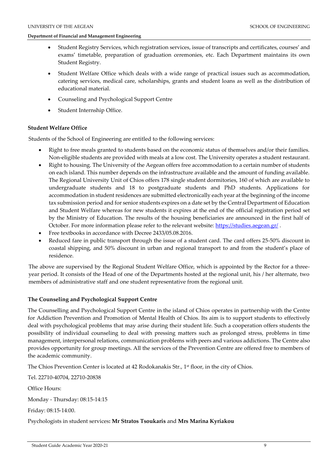- Student Registry Services, which registration services, issue of transcripts and certificates, courses' and exams' timetable, preparation of graduation ceremonies, etc. Each Department maintains its own Student Registry.
- Student Welfare Office which deals with a wide range of practical issues such as accommodation, catering services, medical care, scholarships, grants and student loans as well as the distribution of educational material.
- Counseling and Psychological Support Centre
- Student Internship Office.

# **Student Welfare Office**

Students of the School of Engineering are entitled to the following services:

- Right to free meals granted to students based on the economic status of themselves and/or their families. Non-eligible students are provided with meals at a low cost. The University operates a student restaurant.
- Right to housing. The University of the Aegean offers free accommodation to a certain number of students on each island. This number depends on the infrastructure available and the amount of funding available. The Regional University Unit of Chios offers 178 single student dormitories, 160 of which are available to undergraduate students and 18 to postgraduate students and PhD students. Applications for accommodation in student residences are submitted electronically each year at the beginning of the income tax submission period and for senior students expires on a date set by the Central Department of Education and Student Welfare whereas for new students it expires at the end of the official registration period set by the Ministry of Education. The results of the housing beneficiaries are announced in the first half of October. For more information please refer to the relevant website:<https://studies.aegean.gr/>.
- Free textbooks in accordance with Decree 2433/05.08.2016.
- Reduced fare in public transport through the issue of a student card. The card offers 25-50% discount in coastal shipping, and 50% discount in urban and regional transport to and from the student's place of residence.

The above are supervised by the Regional Student Welfare Office, which is appointed by the Rector for a threeyear period. It consists of the Head of one of the Departments hosted at the regional unit, his / her alternate, two members of administrative staff and one student representative from the regional unit.

# **The Counseling and Psychological Support Centre**

The Counselling and Psychological Support Centre in the island of Chios operates in partnership with the Centre for Addiction Prevention and Promotion of Mental Health of Chios. Its aim is to support students to effectively deal with psychological problems that may arise during their student life. Such a cooperation offers students the possibility of individual counseling to deal with pressing matters such as prolonged stress, problems in time management, interpersonal relations, communication problems with peers and various addictions. The Centre also provides opportunity for group meetings. All the services of the Prevention Centre are offered free to members of the academic community.

The Chios Prevention Center is located at 42 Rodokanakis Str., 1<sup>st</sup> floor, in the city of Chios.

Τel. 22710-40704, 22710-20838

Office Hours:

Monday - Thursday: 08:15-14:15

Friday: 08:15-14:00.

Psychologists in student services**: Mr Stratos Tsoukaris** and **Mrs Marina Kyriakou**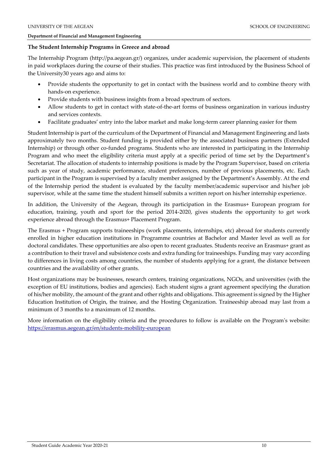#### **The Student Internship Programs in Greece and abroad**

The Internship Program (http://pa.aegean.gr/) organizes, under academic supervision, the placement of students in paid workplaces during the course of their studies. This practice was first introduced by the Business School of the University30 years ago and aims to:

- Provide students the opportunity to get in contact with the business world and to combine theory with hands-on experience.
- Provide students with business insights from a broad spectrum of sectors.
- Allow students to get in contact with state-of-the-art forms of business organization in various industry and services contexts.
- Facilitate graduates' entry into the labor market and make long-term career planning easier for them

Student Internship is part of the curriculum of the Department of Financial and Management Engineering and lasts approximately two months. Student funding is provided either by the associated business partners (Extended Internship) or through other co-funded programs. Students who are interested in participating in the Internship Program and who meet the eligibility criteria must apply at a specific period of time set by the Department's Secretariat. The allocation of students to internship positions is made by the Program Supervisor, based on criteria such as year of study, academic performance, student preferences, number of previous placements, etc. Each participant in the Program is supervised by a faculty member assigned by the Department's Assembly. At the end of the Internship period the student is evaluated by the faculty member/academic supervisor and his/her job supervisor, while at the same time the student himself submits a written report on his/her internship experience.

In addition, the University of the Aegean, through its participation in the Erasmus+ European program for education, training, youth and sport for the period 2014-2020, gives students the opportunity to get work experience abroad through the Erasmus+ Placement Program.

The Erasmus + Program supports traineeships (work placements, internships, etc) abroad for students currently enrolled in higher education institutions in Programme countries at Bachelor and Master level as well as for doctoral candidates. These opportunities are also open to recent graduates. Students receive an Erasmus+ grant as a contribution to their travel and subsistence costs and extra funding for traineeships. Funding may vary according to differences in living costs among countries, the number of students applying for a grant, the distance between countries and the availability of other grants.

Host organizations may be businesses, research centers, training organizations, NGOs, and universities (with the exception of EU institutions, bodies and agencies). Each student signs a grant agreement specifying the duration of his/her mobility, the amount of the grant and other rights and obligations. This agreement is signed by the Higher Education Institution of Origin, the trainee, and the Hosting Organization. Traineeship abroad may last from a minimum of 3 months to a maximum of 12 months.

More information on the eligibility criteria and the procedures to follow is available on the Program's website: <https://erasmus.aegean.gr/en/students-mobility-european>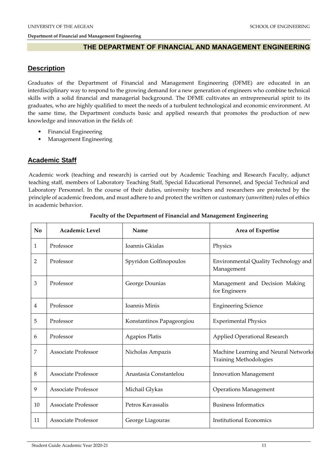# **THE DEPARTMENT OF FINANCIAL AND MANAGEMENT ENGINEERING**

# **Description**

Graduates of the Department of Financial and Management Engineering (DFME) are educated in an interdisciplinary way to respond to the growing demand for a new generation of engineers who combine technical skills with a solid financial and managerial background. The DFME cultivates an entrepreneurial spirit to its graduates, who are highly qualified to meet the needs of a turbulent technological and economic environment. At the same time, the Department conducts basic and applied research that promotes the production of new knowledge and innovation in the fields of:

- Financial Engineering
- Management Engineering

# **Academic Staff**

Academic work (teaching and research) is carried out by Academic Teaching and Research Faculty, adjunct teaching staff, members of Laboratory Teaching Staff, Special Educational Personnel, and Special Technical and Laboratory Personnel. In the course of their duties, university teachers and researchers are protected by the principle of academic freedom, and must adhere to and protect the written or customary (unwritten) rules of ethics in academic behavior.

| No             | Academic Level             | Name                      | Area of Expertise                                                     |
|----------------|----------------------------|---------------------------|-----------------------------------------------------------------------|
| $\mathbf{1}$   | Professor                  | Ioannis Gkialas           | Physics                                                               |
| $\overline{2}$ | Professor                  | Spyridon Golfinopoulos    | Environmental Quality Technology and<br>Management                    |
| 3              | Professor                  | George Dounias            | Management and Decision Making<br>for Engineers                       |
| $\overline{4}$ | Professor                  | Ioannis Minis             | <b>Engineering Science</b>                                            |
| 5              | Professor                  | Konstantinos Papageorgiou | <b>Experimental Physics</b>                                           |
| 6              | Professor                  | Agapios Platis            | Applied Operational Research                                          |
| 7              | <b>Associate Professor</b> | Nicholas Ampazis          | Machine Learning and Neural Networks<br><b>Training Methodologies</b> |
| 8              | <b>Associate Professor</b> | Anastasia Constantelou    | <b>Innovation Management</b>                                          |
| 9              | <b>Associate Professor</b> | Michail Glykas            | <b>Operations Management</b>                                          |
| 10             | <b>Associate Professor</b> | Petros Kavassalis         | <b>Business Informatics</b>                                           |
| 11             | <b>Associate Professor</b> | George Liagouras          | <b>Institutional Economics</b>                                        |

#### **Faculty of the Department of Financial and Management Engineering**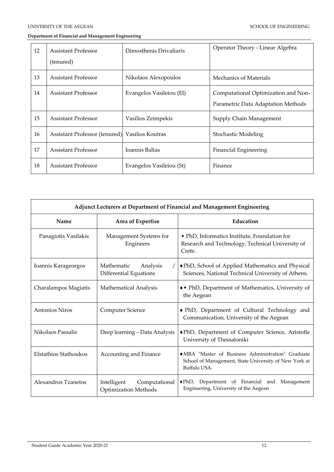| 12 | <b>Assistant Professor</b>                     | Dimosthenis Drivaliaris  | Operator Theory - Linear Algebra    |
|----|------------------------------------------------|--------------------------|-------------------------------------|
|    | (tenured)                                      |                          |                                     |
| 13 | <b>Assistant Professor</b>                     | Nikolaos Alexopoulos     | Mechanics of Materials              |
| 14 | <b>Assistant Professor</b>                     | Evangelos Vasileiou (El) | Computational Optimization and Non- |
|    |                                                |                          | Parametric Data Adaptation Methods  |
| 15 | <b>Assistant Professor</b>                     | Vasilios Zeimpekis       | Supply Chain Management             |
| 16 | Assistant Professor (tenured) Vasilios Koutras |                          | <b>Stochastic Modeling</b>          |
| 17 | <b>Assistant Professor</b>                     | <b>Ioannis Baltas</b>    | <b>Financial Engineering</b>        |
| 18 | <b>Assistant Professor</b>                     | Evangelos Vasileiou (St) | Finance                             |

| Adjunct Lecturers at Department of Financial and Management Engineering |                                                             |                                                                                                                             |  |  |  |
|-------------------------------------------------------------------------|-------------------------------------------------------------|-----------------------------------------------------------------------------------------------------------------------------|--|--|--|
| Name                                                                    | Area of Expertise                                           | Education                                                                                                                   |  |  |  |
| Panagiotis Vasilakis                                                    | Management Systems for<br>Engineers                         | • PhD, Informatics Institute, Foundation for<br>Research and Technology, Technical University of<br>Crete.                  |  |  |  |
| Ioannis Karageorgos                                                     | Mathematic<br>Analysis<br><b>Differential Equations</b>     | ◆ PhD, School of Applied Mathematics and Physical<br>Sciences, National Technical University of Athens.                     |  |  |  |
| Charalampos Magiatis                                                    | Mathematical Analysis                                       | • PhD, Department of Mathematics, University of<br>the Aegean                                                               |  |  |  |
| Antonios Niros                                                          | Computer Science                                            | ◆ PhD, Department of Cultural Technology and<br>Communication, University of the Aegean                                     |  |  |  |
| Nikolaos Passalis                                                       | Deep learning - Data Analysis                               | ◆ PhD, Department of Computer Science, Aristotle<br>University of Thessaloniki                                              |  |  |  |
| Efstathios Stathoukos                                                   | Accounting and Finance                                      | • MBA "Master of Business Administration" Graduate<br>School of Management, State University of New York at<br>Buffalo USA. |  |  |  |
| Alexandros Tzanetos                                                     | Intelligent<br>Computational<br><b>Optimization Methods</b> | Department of Financial and Management<br>$\blacklozenge$ PhD,<br>Engineering, University of the Aegean                     |  |  |  |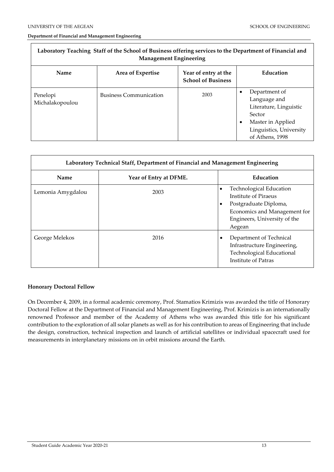Г

#### **Department of Financial and Management Engineering**

| Laboratory Teaching Staff of the School of Business offering services to the Department of Financial and<br><b>Management Engineering</b> |                               |                                                   |                                                                                                                                                        |  |  |
|-------------------------------------------------------------------------------------------------------------------------------------------|-------------------------------|---------------------------------------------------|--------------------------------------------------------------------------------------------------------------------------------------------------------|--|--|
| <b>Name</b>                                                                                                                               | Area of Expertise             | Year of entry at the<br><b>School of Business</b> | Education                                                                                                                                              |  |  |
| Penelopi<br>Michalakopoulou                                                                                                               | <b>Business Communication</b> | 2003                                              | Department of<br>٠<br>Language and<br>Literature, Linguistic<br>Sector<br>Master in Applied<br>$\bullet$<br>Linguistics, University<br>of Athens, 1998 |  |  |

| Laboratory Technical Staff, Department of Financial and Management Engineering |                        |                                                                                                                                                                                     |  |  |  |
|--------------------------------------------------------------------------------|------------------------|-------------------------------------------------------------------------------------------------------------------------------------------------------------------------------------|--|--|--|
| Name                                                                           | Year of Entry at DFME. | Education                                                                                                                                                                           |  |  |  |
| Lemonia Amygdalou                                                              | 2003                   | <b>Technological Education</b><br>$\bullet$<br>Institute of Piraeus<br>Postgraduate Diploma,<br>$\bullet$<br>Economics and Management for<br>Engineers, University of the<br>Aegean |  |  |  |
| George Melekos                                                                 | 2016                   | Department of Technical<br>٠<br>Infrastructure Engineering,<br>Technological Educational<br>Institute of Patras                                                                     |  |  |  |

# **Honorary Doctoral Fellow**

On December 4, 2009, in a formal academic ceremony, Prof. Stamatios Krimizis was awarded the title of Honorary Doctoral Fellow at the Department of Financial and Management Engineering, Prof. Krimizis is an internationally renowned Professor and member of the Academy of Athens who was awarded this title for his significant contribution to the exploration of all solar planets as well as for his contribution to areas of Engineering that include the design, construction, technical inspection and launch of artificial satellites or individual spacecraft used for measurements in interplanetary missions on in orbit missions around the Earth.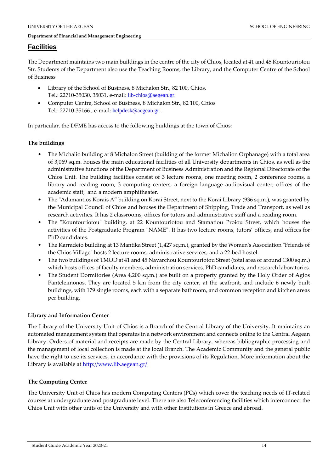# **Facilities**

The Department maintains two main buildings in the centre of the city of Chios, located at 41 and 45 Kountouriotou Str. Students of the Department also use the Teaching Rooms, the Library, and the Computer Centre of the School of Business

- Library of the School of Business, 8 Michalon Str., 82 100, Chios, Τel.: 22710-35030, 35031, e-mail: [lib-chios@aegean.gr](mailto:lib-chios@aegean.gr).
- Computer Centre, School of Business, 8 Michalon Str., 82 100, Chios Τel.: 22710-35166 , e-mail: [helpdesk@aegean.gr](mailto:helpdesk@aegean.gr) .

In particular, the DFME has access to the following buildings at the town of Chios:

# **The buildings**

- The Michalio building at 8 Michalon Street (building of the former Michalion Orphanage) with a total area of 3,069 sq.m. houses the main educational facilities of all University departments in Chios, as well as the administrative functions of the Department of Business Administration and the Regional Directorate of the Chios Unit. The building facilities consist of 3 lecture rooms, one meeting room, 2 conference rooms, a library and reading room, 3 computing centers, a foreign language audiovisual center, offices of the academic staff, and a modern amphitheater.
- The "Adamantios Korais A" building on Korai Street, next to the Korai Library (936 sq.m.), was granted by the Municipal Council of Chios and houses the Department of Shipping, Trade and Transport, as well as research activities. It has 2 classrooms, offices for tutors and administrative staff and a reading room.
- The "Kountouriotou" building, at 22 Kountouriotou and Stamatiou Proiou Street, which houses the activities of the Postgraduate Program "NAME". It has two lecture rooms, tutors' offices, and offices for PhD candidates.
- The Karradeio building at 13 Mantika Street (1,427 sq.m.), granted by the Women's Association "Friends of the Chios Village" hosts 2 lecture rooms, administrative services, and a 22-bed hostel.
- The two buildings of TMOD at 41 and 45 Navarchou Kountouriotou Street (total area of around 1300 sq.m.) which hosts offices of faculty members, administration services, PhD candidates, and research laboratories.
- The Student Dormitories (Area 4,200 sq.m.) are built on a property granted by the Holy Order of Agios Panteleimonos. They are located 5 km from the city center, at the seafront, and include 6 newly built buildings, with 179 single rooms, each with a separate bathroom, and common reception and kitchen areas per building.

# **Library and Information Center**

The Library of the University Unit of Chios is a Branch of the Central Library of the University. It maintains an automated management system that operates in a network environment and connects online to the Central Aegean Library. Orders of material and receipts are made by the Central Library, whereas bibliographic processing and the management of local collection is made at the local Branch. The Academic Community and the general public have the right to use its services, in accordance with the provisions of its Regulation. More information about the Library is available a[t http://www.lib.aegean.gr/](http://www.lib.aegean.gr/)

# **The Computing Center**

The University Unit of Chios has modern Computing Centers (PCs) which cover the teaching needs of IT-related courses at undergraduate and postgraduate level. There are also Teleconferencing facilities which interconnect the Chios Unit with other units of the University and with other Institutions in Greece and abroad.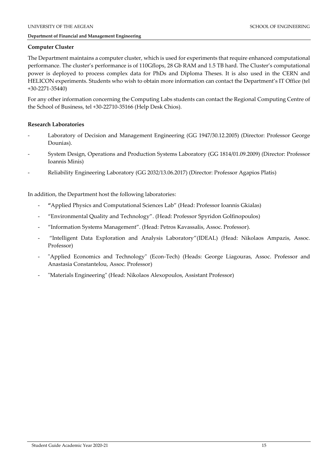# **Computer Cluster**

The Department maintains a computer cluster, which is used for experiments that require enhanced computational performance. The cluster's performance is of 110Gflops, 28 Gb RAM and 1.5 TB hard. The Cluster's computational power is deployed to process complex data for PhDs and Diploma Theses. It is also used in the CERN and HELICON experiments. Students who wish to obtain more information can contact the Department's IT Office (tel +30-2271-35440)

For any other information concerning the Computing Labs students can contact the Regional Computing Centre of the School of Business, tel +30-22710-35166 (Help Desk Chios).

# **Research Laboratories**

- Laboratory of Decision and Management Engineering (GG 1947/30.12.2005) (Director: Professor George Dounias).
- System Design, Operations and Production Systems Laboratory (GG 1814/01.09.2009) (Director: Professor Ioannis Minis)
- Reliability Engineering Laboratory (GG 2032/13.06.2017) (Director: Professor Agapios Platis)

In addition, the Department host the following laboratories:

- **"**Applied Physics and Computational Sciences Lab" (Head: Professor Ioannis Gkialas)
- "Environmental Quality and Technology". (Head: Professor Spyridon Golfinopoulos)
- "Information Systems Management". (Head: Petros Kavassalis, Assoc. Professor).
- "Intelligent Data Exploration and Analysis Laboratory"(IDEAL) (Head: Nikolaos Ampazis, Assoc. Professor)
- "Applied Economics and Technology" (Econ-Tech) (Heads: George Liagouras, Assoc. Professor and Anastasia Constantelou, Assoc. Professor)
- "Materials Engineering" (Head: Nikolaos Alexopoulos, Assistant Professor)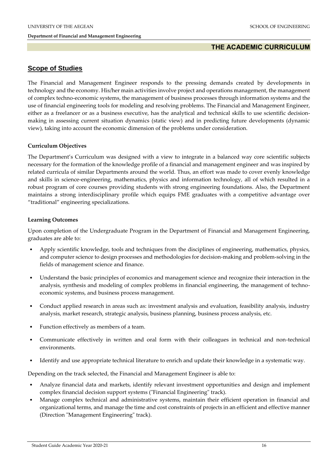# **THE ACADEMIC CURRICULUM**

# **Scope of Studies**

The Financial and Management Engineer responds to the pressing demands created by developments in technology and the economy. His/her main activities involve project and operations management, the management of complex techno-economic systems, the management of business processes through information systems and the use of financial engineering tools for modeling and resolving problems. The Financial and Management Engineer, either as a freelancer or as a business executive, has the analytical and technical skills to use scientific decisionmaking in assessing current situation dynamics (static view) and in predicting future developments (dynamic view), taking into account the economic dimension of the problems under consideration.

# **Curriculum Objectives**

The Department's Curriculum was designed with a view to integrate in a balanced way core scientific subjects necessary for the formation of the knowledge profile of a financial and management engineer and was inspired by related curricula of similar Departments around the world. Thus, an effort was made to cover evenly knowledge and skills in science-engineering, mathematics, physics and information technology, all of which resulted in a robust program of core courses providing students with strong engineering foundations. Also, the Department maintains a strong interdisciplinary profile which equips FME graduates with a competitive advantage over "traditional" engineering specializations.

#### **Learning Outcomes**

Upon completion of the Undergraduate Program in the Department of Financial and Management Engineering, graduates are able to:

- Apply scientific knowledge, tools and techniques from the disciplines of engineering, mathematics, physics, and computer science to design processes and methodologies for decision-making and problem-solving in the fields of management science and finance.
- Understand the basic principles of economics and management science and recognize their interaction in the analysis, synthesis and modeling of complex problems in financial engineering, the management of technoeconomic systems, and business process management.
- Conduct applied research in areas such as: investment analysis and evaluation, feasibility analysis, industry analysis, market research, strategic analysis, business planning, business process analysis, etc.
- Function effectively as members of a team.
- Communicate effectively in written and oral form with their colleagues in technical and non-technical environments.
- Identify and use appropriate technical literature to enrich and update their knowledge in a systematic way.

Depending on the track selected, the Financial and Management Engineer is able to:

- Analyze financial data and markets, identify relevant investment opportunities and design and implement complex financial decision support systems ("Financial Engineering" track).
- Manage complex technical and administrative systems, maintain their efficient operation in financial and organizational terms, and manage the time and cost constraints of projects in an efficient and effective manner (Direction "Management Engineering" track).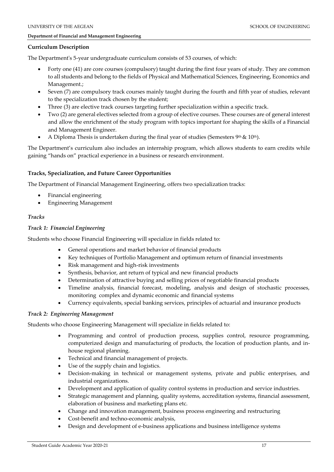#### **Curriculum Description**

The Department's 5-year undergraduate curriculum consists of 53 courses, of which:

- Forty one (41) are core courses (compulsory) taught during the first four years of study. They are common to all students and belong to the fields of Physical and Mathematical Sciences, Engineering, Economics and Management.;
- Seven (7) are compulsory track courses mainly taught during the fourth and fifth year of studies, relevant to the specialization track chosen by the student;
- Three (3) are elective track courses targeting further specialization within a specific track.
- Two (2) are general electives selected from a group of elective courses. These courses are of general interest and allow the enrichment of the study program with topics important for shaping the skills of a Financial and Management Engineer.
- A Diploma Thesis is undertaken during the final year of studies (Semesters  $9<sup>th</sup>$  &  $10<sup>th</sup>$ ).

The Department's curriculum also includes an internship program, which allows students to earn credits while gaining "hands on" practical experience in a business or research environment.

# **Tracks, Specialization, and Future Career Opportunities**

The Department of Financial Management Engineering, offers two specialization tracks:

- Financial engineering
- Engineering Management

# *Tracks*

# *Track 1: Financial Engineering*

Students who choose Financial Engineering will specialize in fields related to:

- General operations and market behavior of financial products
- Key techniques of Portfolio Management and optimum return of financial investments
- Risk management and high-risk investments
- Synthesis, behavior, ant return of typical and new financial products
- Determination of attractive buying and selling prices of negotiable financial products
- Timeline analysis, financial forecast, modeling, analysis and design of stochastic processes, monitoring complex and dynamic economic and financial systems
- Currency equivalents, special banking services, principles of actuarial and insurance products

# *Track 2: Engineering Management*

Students who choose Engineering Management will specialize in fields related to:

- Programming and control of production process, supplies control, resource programming, computerized design and manufacturing of products, the location of production plants, and inhouse regional planning.
- Technical and financial management of projects.
- Use of the supply chain and logistics.
- Decision-making in technical or management systems, private and public enterprises, and industrial organizations.
- Development and application of quality control systems in production and service industries.
- Strategic management and planning, quality systems, accreditation systems, financial assessment, elaboration of business and marketing plans etc.
- Change and innovation management, business process engineering and restructuring
- Cost-benefit and techno-economic analysis,
- Design and development of e-business applications and business intelligence systems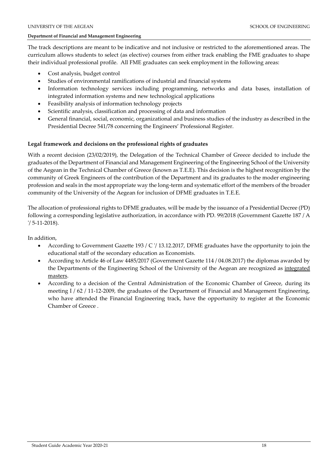The track descriptions are meant to be indicative and not inclusive or restricted to the aforementioned areas. The curriculum allows students to select (as elective) courses from either track enabling the FME graduates to shape their individual professional profile. All FME graduates can seek employment in the following areas:

- Cost analysis, budget control
- Studies of environmental ramifications of industrial and financial systems
- Information technology services including programming, networks and data bases, installation of integrated information systems and new technological applications
- Feasibility analysis of information technology projects
- Scientific analysis, classification and processing of data and information
- General financial, social, economic, organizational and business studies of the industry as described in the Presidential Decree 541/78 concerning the Engineers' Professional Register.

# **Legal framework and decisions on the professional rights of graduates**

With a recent decision (23/02/2019), the Delegation of the Technical Chamber of Greece decided to include the graduates of the Department of Financial and Management Engineering of the Engineering School of the University of the Aegean in the Technical Chamber of Greece (known as T.E.E). This decision is the highest recognition by the community of Greek Engineers of the contribution of the Department and its graduates to the moder engineering profession and seals in the most appropriate way the long-term and systematic effort of the members of the broader community of the University of the Aegean for inclusion of DFME graduates in T.E.E.

The allocation of professional rights to DFME graduates, will be made by the issuance of a Presidential Decree (PD) following a corresponding legislative authorization, in accordance with PD. 99/2018 (Government Gazette 187 / A '/ 5-11-2018).

In addition,

- According to Government Gazette 193 / C '/ 13.12.2017, DFME graduates have the opportunity to join the educational staff of the secondary education as Economists.
- According to Article 46 of Law 4485/2017 (Government Gazette 114 / 04.08.2017) the diplomas awarded by the Departments of the Engineering School of the University of the Aegean are recognized as integrated masters.
- According to a decision of the Central Administration of the Economic Chamber of Greece, during its meeting I / 62 / 11-12-2009, the graduates of the Department of Financial and Management Engineering, who have attended the Financial Engineering track, have the opportunity to register at the Economic Chamber of Greece .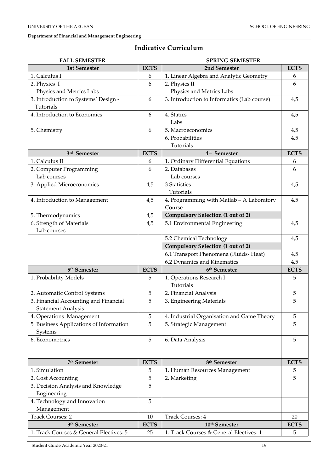# **Indicative Curriculum**

| <b>FALL SEMESTER</b><br><b>SPRING SEMESTER</b> |             |                                             |             |
|------------------------------------------------|-------------|---------------------------------------------|-------------|
| <b>1st Semester</b>                            | <b>ECTS</b> | 2nd Semester                                | <b>ECTS</b> |
| 1. Calculus I                                  | 6           | 1. Linear Algebra and Analytic Geometry     | 6           |
| 2. Physics I                                   | 6           | 2. Physics II                               | 6           |
| Physics and Metrics Labs                       |             | Physics and Metrics Labs                    |             |
| 3. Introduction to Systems' Design -           | 6           | 3. Introduction to Informatics (Lab course) | 4,5         |
| Tutorials                                      |             |                                             |             |
| 4. Introduction to Economics                   | 6           | 4. Statics                                  | 4,5         |
|                                                |             | Labs                                        |             |
| 5. Chemistry                                   | 6           | 5. Macroeconomics                           | 4,5         |
|                                                |             | 6. Probabilities                            | 4,5         |
|                                                |             | Tutorials                                   |             |
| 3rd Semester                                   | <b>ECTS</b> | 4 <sup>th</sup> Semester                    | <b>ECTS</b> |
| 1. Calculus II                                 | 6           | 1. Ordinary Differential Equations          | 6           |
| 2. Computer Programming                        | 6           | 2. Databases                                | 6           |
| Lab courses                                    |             | Lab courses                                 |             |
| 3. Applied Microeconomics                      | 4,5         | 3 Statistics                                | 4,5         |
|                                                |             | Tutorials                                   |             |
| 4. Introduction to Management                  | 4,5         | 4. Programming with Matlab - A Laboratory   | 4,5         |
|                                                |             | Course                                      |             |
| 5. Thermodynamics                              | 4,5         | <b>Compulsory Selection (1 out of 2)</b>    |             |
| 6. Strength of Materials                       | 4,5         | 5.1 Environmental Engineering               | 4,5         |
| Lab courses                                    |             |                                             |             |
|                                                |             | 5.2 Chemical Technology                     | 4,5         |
|                                                |             | <b>Compulsory Selection (1 out of 2)</b>    |             |
|                                                |             |                                             |             |
|                                                |             | 6.1 Transport Phenomena (Fluids-Heat)       | 4,5         |
|                                                |             | 6.2 Dynamics and Kinematics                 | 4,5         |
| 5 <sup>th</sup> Semester                       | <b>ECTS</b> | 6 <sup>th</sup> Semester                    | <b>ECTS</b> |
| 1. Probability Models                          | 5           | 1. Operations Research I                    | 5           |
|                                                |             | Tutorials                                   |             |
| 2. Automatic Control Systems                   | 5           | 2. Financial Analysis                       | 5           |
| 3. Financial Accounting and Financial          | 5           | 3. Engineering Materials                    | 5           |
| <b>Statement Analysis</b>                      |             |                                             |             |
| 4. Operations Management                       | 5           | 4. Industrial Organisation and Game Theory  | 5           |
| 5 Business Applications of Information         | 5           | 5. Strategic Management                     | 5           |
| Systems                                        |             |                                             |             |
| 6. Econometrics                                | 5           | 6. Data Analysis                            | 5           |
|                                                |             |                                             |             |
|                                                |             |                                             |             |
| 7 <sup>th</sup> Semester                       | <b>ECTS</b> | 8 <sup>th</sup> Semester                    | <b>ECTS</b> |
| 1. Simulation                                  | 5           | 1. Human Resources Management               | 5           |
| 2. Cost Accounting                             | 5           | 2. Marketing                                | 5           |
| 3. Decision Analysis and Knowledge             | 5           |                                             |             |
| Engineering                                    |             |                                             |             |
| 4. Technology and Innovation                   | 5           |                                             |             |
| Management                                     |             |                                             |             |
| <b>Track Courses: 2</b>                        | 10          | <b>Track Courses: 4</b>                     | 20          |
| 9 <sup>th</sup> Semester                       | <b>ECTS</b> | 10th Semester                               | <b>ECTS</b> |
| 1. Track Courses & General Electives: 5        | 25          | 1. Track Courses & General Electives: 1     | 5           |

Student Guide Academic Year 2020-21 19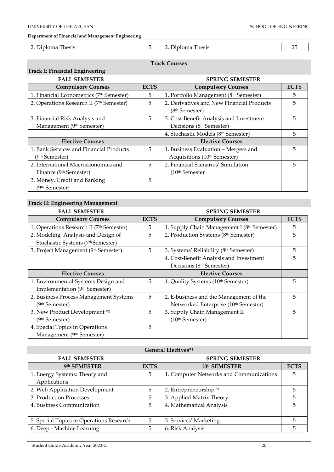| <b>LET'S</b><br>$\sim$<br>Jiploma<br>hesis | $\overline{\phantom{a}}$ | hesis<br>วเoma<br>11. |  |
|--------------------------------------------|--------------------------|-----------------------|--|
|                                            |                          |                       |  |

#### **Track Courses**

# **Track I: Financial Engineering**

| <b>FALL SEMESTER</b>                     |             | <b>SPRING SEMESTER</b>                    |             |
|------------------------------------------|-------------|-------------------------------------------|-------------|
| <b>Compulsory Courses</b>                | <b>ECTS</b> | <b>Compulsory Courses</b>                 | <b>ECTS</b> |
| 1. Financial Econometrics (7th Semester) | 5           | 1. Portfolio Management (8th Semester)    | 5.          |
| 2. Operations Research II (7th Semester) | 5           | 2. Derivatives and New Financial Products | 5           |
|                                          |             | (8 <sup>th</sup> Semester)                |             |
| 3. Financial Risk Analysis and           | 5           | 3. Cost-Benefit Analysis and Investment   | 5           |
| Management (9th Semester)                |             | Decisions (8th Semester)                  |             |
|                                          |             | 4. Stochastic Models (8th Semester)       | 5           |
| <b>Elective Courses</b>                  |             | <b>Elective Courses</b>                   |             |
| 1. Bank Services and Financial Products  | 5           | 1. Business Evaluation – Mergers and      | 5           |
| (9 <sup>th</sup> Semester)               |             | Acquisitions (10 <sup>th</sup> Semester)  |             |
| 2. International Macroeconomics and      | 5           | 2. Financial Scenarios' Simulation        | 5           |
| Finance (9th Semester)                   |             | (10th Semester                            |             |
| 3. Money, Credit and Banking             | 5           |                                           |             |
| (9th Semester)                           |             |                                           |             |

# **Track II: Engineering Management**

| <b>FALL SEMESTER</b>                     |             | <b>SPRING SEMESTER</b>                      |             |
|------------------------------------------|-------------|---------------------------------------------|-------------|
| <b>Compulsory Courses</b>                | <b>ECTS</b> | <b>Compulsory Courses</b>                   | <b>ECTS</b> |
| 1. Operations Research II (7th Semester) | 5           | 1. Supply Chain Management I (8th Semester) | 5           |
| 2. Modeling, Analysis and Design of      | 5           | 2. Production Systems (8th Semester)        | 5           |
| Stochastic Systems (7th Semester)        |             |                                             |             |
| 3. Project Management (9th Semester)     | 5           | 3. Systems' Reliability (8th Semester)      | 5           |
|                                          |             | 4. Cost-Benefit Analysis and Investment     | 5           |
|                                          |             | Decisions (8th Semester)                    |             |
| <b>Elective Courses</b>                  |             | <b>Elective Courses</b>                     |             |
| 1. Environmental Systems Design and      | 5           | 1. Quality Systems (10th Semester)          | 5           |
| Implementation (9th Semester)            |             |                                             |             |
| 2. Business Process Management Systems   | 5           | 2. E-business and the Management of the     | 5           |
| (9 <sup>th</sup> Semester)               |             | Networked Enterprise (10th Semester)        |             |
| 3. New Product Development *2            | 5           | 3. Supply Chain Management II               | 5           |
| (9th Semester)                           |             | (10 <sup>th</sup> Semester)                 |             |
| 4. Special Topics in Operations          | 5           |                                             |             |
| Management (9th Semester)                |             |                                             |             |

# **General Electives\* 1** FALL SEMESTER SPRING SEMESTER 9th SEMESTER **th SEMESTER ECTS 10th SEMESTER ECTS** 1. Energy Systems: Theory and Applications 5 | 1. Computer Networks and Communications | 5 2. Web Application Development 5 2. Entrepreneurship \*4 5 3. Production Processes 1 5 3. Applied Matrix Theory 5 5 4. Business Communication 1 5 4. Mathematical Analysis 5 5. Special Topics in Operations Research  $\begin{vmatrix} 5 \\ 5 \end{vmatrix}$  5. Services' Marketing  $\begin{vmatrix} 5 \\ 5 \end{vmatrix}$  5 6. Deep - Machine Learning 5 6. Risk Analysis 5 5 5 5 6. Risk Analysis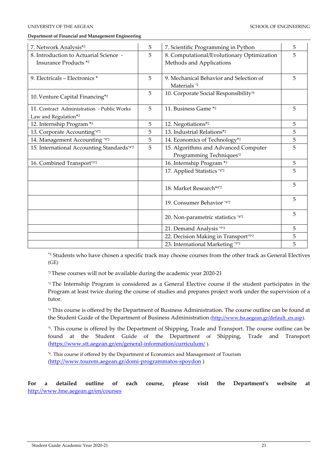| 7. Network Analysis*2                                                          | 5 | 7. Scientific Programming in Python                                    | 5 |
|--------------------------------------------------------------------------------|---|------------------------------------------------------------------------|---|
| 8. Introduction to Actuarial Science -<br><b>Insurance Products</b> *2         | 5 | 8. Computational/Evolutionary Optimization<br>Methods and Applications | 5 |
| 9. Electricals - Electronics *                                                 | 5 | 9. Mechanical Behavior and Selection of<br>Materials <sup>*2</sup>     | 5 |
| 10. Venture Capital Financing*2                                                | 5 | 10. Corporate Social Responsibility*6                                  |   |
| 11. Contract Administration - Public Works<br>Law and Regulation <sup>*2</sup> | 5 | 11. Business Game *2                                                   | 5 |
| 12. Internship Program *3                                                      | 5 | 12. Negotiations*2                                                     | 5 |
| 13. Corporate Accounting*4*2                                                   | 5 | 13. Industrial Relations*2                                             | 5 |
| 14. Management Accounting *4*2                                                 | 5 | 14. Economics of Technology*2                                          | 5 |
| 15. International Accounting Standards*4*2                                     | 5 | 15. Algorithms and Advanced Computer<br>Programming Techniques*2       | 5 |
| 16. Combined Transport*5*2                                                     |   | 16. Internship Program *3                                              | 5 |
|                                                                                |   | 17. Applied Statistics *4*2                                            | 5 |
|                                                                                |   | 18. Market Research*4*2                                                | 5 |
|                                                                                |   | 19. Consumer Behavior *4*2                                             | 5 |
|                                                                                |   | 20. Non-parametric statistics *4*2                                     | 5 |
|                                                                                |   | 21. Demand Analysis *5*2                                               | 5 |
|                                                                                |   | 22. Decision Making in Transport*5*2                                   | 5 |
|                                                                                |   | 23. International Marketing *5*2                                       | 5 |

\*1 Students who have chosen a specific track may choose courses from the other track as General Electives (GE)

\*2 These courses will not be available during the academic year 2020-21

\*3 The Internship Program is considered as a General Elective course if the student participates in the Program at least twice during the course of studies and prepares project work under the supervision of a tutor.

\*4 This course is offered by the Department of Business Administration. The course outline can be found at the Student Guide of the Department of Business Administration [\(http://www.ba.aegean.gr/default\\_en.asp\)](http://www.ba.aegean.gr/default_en.asp).

\*5 . This course is offered by the Department of Shipping, Trade and Transport. The course outline can be found at the Student Guide of the Department of Shipping, Trade and Transport (<https://www.stt.aegean.gr/en/general-information/curriculum/> ).

\*6. This course if offered by the Department of Economics and Management of Tourism (<http://www.tourem.aegean.gr/domi-programmatos-spoydon> )

**For a detailed outline of each course, please visit the Department's website at**  <http://www.fme.aegean.gr/en/courses>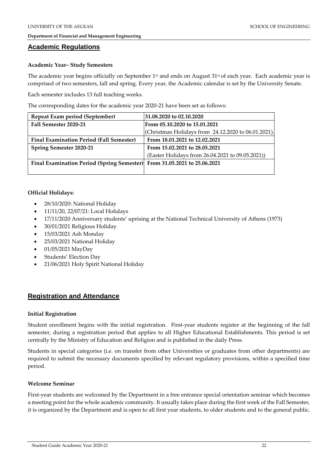### **Academic Regulations**

#### **Academic Year– Study Semesters**

The academic year begins officially on September  $1<sup>st</sup>$  and ends on August  $31<sup>st</sup>$  of each year. Each academic year is comprised of two semesters, fall and spring. Every year, the Academic calendar is set by the University Senate.

Each semester includes 13 full teaching weeks.

The corresponding dates for the academic year 2020-21 have been set as follows:

| Repeat Exam period (September)                                           | 31.08.2020 to 02.10.2020                            |
|--------------------------------------------------------------------------|-----------------------------------------------------|
| Fall Semester 2020-21                                                    | From 05.10.2020 to 15.01.2021                       |
|                                                                          | (Christmas Holidays from 24.12.2020 to 06.01.2021). |
| <b>Final Examination Period (Fall Semester)</b>                          | From 18.01.2021 to 12.02.2021                       |
| <b>Spring Semester 2020-21</b>                                           | From 15.02.2021 to 28.05.2021                       |
|                                                                          | (Easter Holidays from 26.04.2021 to 09.05.2021))    |
| Final Examination Period (Spring Semester) From 31.05.2021 to 25.06.2021 |                                                     |
|                                                                          |                                                     |

#### **Official Holidays:**

- 28/10/2020: National Holiday
- 11/11/20, 22/07/21: Local Holidays
- 17/11/2020 Anniversary students' uprising at the National Technical University of Athens (1973)
- 30/01/2021 Religious Holiday
- 15/03/2021 Ash Monday
- 25/03/2021 National Holiday
- 01/05/2021 MayDay
- Students' Election Day
- 21/06/2021 Holy Spirit National Holiday

# **Registration and Attendance**

#### **Initial Registration**

Student enrollment begins with the initial registration. First-year students register at the beginning of the fall semester, during a registration period that applies to all Higher Educational Establishments. This period is set centrally by the Ministry of Education and Religion and is published in the daily Press.

Students in special categories (i.e. on transfer from other Universities or graduates from other departments) are required to submit the necessary documents specified by relevant regulatory provisions, within a specified time period.

#### **Welcome Seminar**

First-year students are welcomed by the Department in a free entrance special orientation seminar which becomes a meeting point for the whole academic community. It usually takes place during the first week of the Fall Semester, it is organized by the Department and is open to all first year students, to older students and to the general public.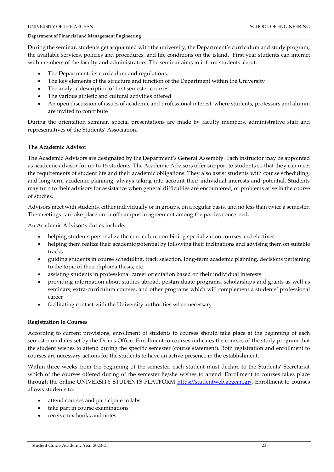During the seminar, students get acquainted with the university, the Department's curriculum and study program, the available services, policies and procedures, and life conditions on the island. First year students can interact with members of the faculty and administrators. The seminar aims to inform students about:

- The Department, its curriculum and regulations.
- The key elements of the structure and function of the Department within the University
- The analytic description of first semester courses
- The various athletic and cultural activities offered
- An open discussion of issues of academic and professional interest, where students, professors and alumni are invited to contribute

During the orientation seminar, special presentations are made by faculty members, administrative staff and representatives of the Students' Association.

#### **The Academic Advisor**

The Academic Advisors are designated by the Department's General Assembly. Each instructor may be appointed as academic advisor for up to 15 students. The Academic Advisors offer support to students so that they can meet the requirements of student life and their academic obligations. They also assist students with course scheduling, and long-term academic planning, always taking into account their individual interests and potential. Students may turn to their advisors for assistance when general difficulties are encountered, or problems arise in the course of studies.

Advisors meet with students, either individually or in groups, on a regular basis, and no less than twice a semester. The meetings can take place on or off campus in agreement among the parties concerned.

An Academic Advisor's duties include:

- helping students personalize the curriculum combining specialization courses and electives
- helping them realize their academic potential by following their inclinations and advising them on suitable tracks
- guiding students in course scheduling, track selection, long-term academic planning, decisions pertaining to the topic of their diploma thesis, etc.
- assisting students in professional career orientation based on their individual interests
- providing information about studies abroad, postgraduate programs, scholarships and grants as well as seminars, extra-curriculum courses, and other programs which will complement a students' professional career
- facilitating contact with the University authorities when necessary

# **Registration to Courses**

According to current provisions, enrollment of students to courses should take place at the beginning of each semester on dates set by the Dean's Office. Enrollment to courses indicates the courses of the study program that the student wishes to attend during the specific semester (course statement). Both registration and enrollment to courses are necessary actions for the students to have an active presence in the establishment.

Within three weeks from the beginning of the semester, each student must declare to the Students' Secretariat which of the courses offered during of the semester he/she wishes to attend. Enrollment to courses takes place through the online UNIVERSITY STUDENTS PLATFORM [https://studentweb.aegean.gr/.](https://studentweb.aegean.gr/) Enrollment to courses allows students to:

- attend courses and participate in labs
- take part in course examinations
- receive textbooks and notes.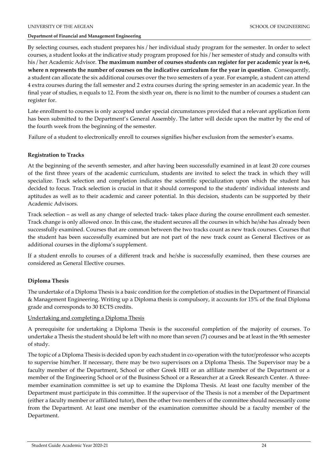By selecting courses, each student prepares his / her individual study program for the semester. In order to select courses, a student looks at the indicative study program proposed for his / her semester of study and consults with his / her Academic Advisor. **The maximum number of courses students can register for per academic year is n+6, where n represents the number of courses on the indicative curriculum for the year in question**. Consequently, a student can allocate the six additional courses over the two semesters of a year. For example, a student can attend 4 extra courses during the fall semester and 2 extra courses during the spring semester in an academic year. In the final year of studies, n equals to 12. From the sixth year on, there is no limit to the number of courses a student can register for.

Late enrollment to courses is only accepted under special circumstances provided that a relevant application form has been submitted to the Department's General Assembly. The latter will decide upon the matter by the end of the fourth week from the beginning of the semester.

Failure of a student to electronically enroll to courses signifies his/her exclusion from the semester's exams.

# **Registration to Tracks**

At the beginning of the seventh semester, and after having been successfully examined in at least 20 core courses of the first three years of the academic curriculum, students are invited to select the track in which they will specialize. Track selection and completion indicates the scientific specialization upon which the student has decided to focus. Track selection is crucial in that it should correspond to the students' individual interests and aptitudes as well as to their academic and career potential. In this decision, students can be supported by their Academic Advisors.

Track selection – as well as any change of selected track- takes place during the course enrollment each semester. Track change is only allowed once. In this case, the student secures all the courses in which he/she has already been successfully examined. Courses that are common between the two tracks count as new track courses. Courses that the student has been successfully examined but are not part of the new track count as General Electives or as additional courses in the diploma's supplement.

If a student enrolls to courses of a different track and he/she is successfully examined, then these courses are considered as General Elective courses.

# **Diploma Thesis**

The undertake of a Diploma Thesis is a basic condition for the completion of studies in the Department of Financial & Management Engineering. Writing up a Diploma thesis is compulsory, it accounts for 15% of the final Diploma grade and corresponds to 30 ECTS credits.

#### Undertaking and completing a Diploma Thesis

A prerequisite for undertaking a Diploma Thesis is the successful completion of the majority of courses. To undertake a Thesis the student should be left with no more than seven (7) courses and be at least in the 9th semester of study.

The topic of a Diploma Thesis is decided upon by each student in co-operation with the tutor/professor who accepts to supervise him/her. If necessary, there may be two supervisors on a Diploma Thesis. The Supervisor may be a faculty member of the Department, School or other Greek HEI or an affiliate member of the Department or a member of the Engineering School or of the Business School or a Researcher at a Greek Research Center. A threemember examination committee is set up to examine the Diploma Thesis. At least one faculty member of the Department must participate in this committee. If the supervisor of the Thesis is not a member of the Department (either a faculty member or affiliated tutor), then the other two members of the committee should necessarily come from the Department. At least one member of the examination committee should be a faculty member of the Department.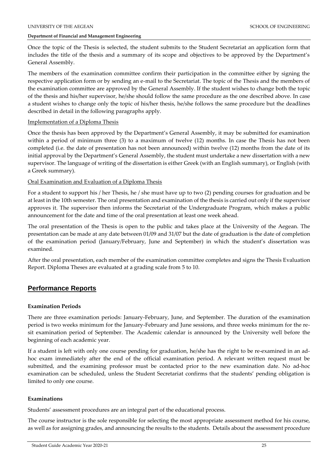Once the topic of the Thesis is selected, the student submits to the Student Secretariat an application form that includes the title of the thesis and a summary of its scope and objectives to be approved by the Department's General Assembly.

The members of the examination committee confirm their participation in the committee either by signing the respective application form or by sending an e-mail to the Secretariat. The topic of the Thesis and the members of the examination committee are approved by the General Assembly. If the student wishes to change both the topic of the thesis and his/her supervisor, he/she should follow the same procedure as the one described above. In case a student wishes to change only the topic of his/her thesis, he/she follows the same procedure but the deadlines described in detail in the following paragraphs apply.

#### Implementation of a Diploma Thesis

Once the thesis has been approved by the Department's General Assembly, it may be submitted for examination within a period of minimum three (3) to a maximum of twelve (12) months. In case the Thesis has not been completed (i.e. the date of presentation has not been announced) within twelve (12) months from the date of its initial approval by the Department's General Assembly, the student must undertake a new dissertation with a new supervisor. The language of writing of the dissertation is either Greek (with an English summary), or English (with a Greek summary).

#### Oral Examination and Evaluation of a Diploma Thesis

For a student to support his / her Thesis, he / she must have up to two (2) pending courses for graduation and be at least in the 10th semester. The oral presentation and examination of the thesis is carried out only if the supervisor approves it. The supervisor then informs the Secretariat of the Undergraduate Program, which makes a public announcement for the date and time of the oral presentation at least one week ahead.

The oral presentation of the Thesis is open to the public and takes place at the University of the Aegean. The presentation can be made at any date between 01/09 and 31/07 but the date of graduation is the date of completion of the examination period (January/February, June and September) in which the student's dissertation was examined.

After the oral presentation, each member of the examination committee completes and signs the Thesis Evaluation Report. Diploma Theses are evaluated at a grading scale from 5 to 10.

# **Performance Reports**

# **Examination Periods**

There are three examination periods: January-February, June, and September. The duration of the examination period is two weeks minimum for the January-February and June sessions, and three weeks minimum for the resit examination period of September. The Academic calendar is announced by the University well before the beginning of each academic year.

If a student is left with only one course pending for graduation, he/she has the right to be re-examined in an adhoc exam immediately after the end of the official examination period. A relevant written request must be submitted, and the examining professor must be contacted prior to the new examination date. No ad-hoc examination can be scheduled, unless the Student Secretariat confirms that the students' pending obligation is limited to only one course.

# **Examinations**

Students' assessment procedures are an integral part of the educational process.

The course instructor is the sole responsible for selecting the most appropriate assessment method for his course, as well as for assigning grades, and announcing the results to the students. Details about the assessment procedure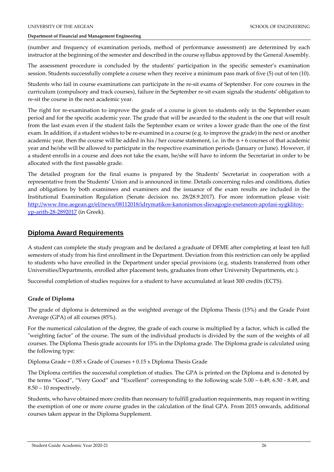(number and frequency of examination periods, method of performance assessment) are determined by each instructor at the beginning of the semester and described in the course syllabus approved by the General Assembly.

The assessment procedure is concluded by the students' participation in the specific semester's examination session. Students successfully complete a course when they receive a minimum pass mark of five (5) out of ten (10).

Students who fail in course examinations can participate in the re-sit exams of September. For core courses in the curriculum (compulsory and track courses), failure in the September re-sit exam signals the students' obligation to re-sit the course in the next academic year.

The right for re-examination to improve the grade of a course is given to students only in the September exam period and for the specific academic year. The grade that will be awarded to the student is the one that will result from the last exam even if the student fails the September exam or writes a lower grade than the one of the first exam. In addition, if a student wishes to be re-examined in a course (e.g. to improve the grade) in the next or another academic year, then the course will be added in his / her course statement, i.e. in the  $n + 6$  courses of that academic year and he/she will be allowed to participate in the respective examination periods (January or June). However, if a student enrolls in a course and does not take the exam, he/she will have to inform the Secretariat in order to be allocated with the first passable grade.

The detailed program for the final exams is prepared by the Students' Secretariat in cooperation with a representative from the Students' Union and is announced in time. Details concerning rules and conditions, duties and obligations by both examinees and examiners and the issuance of the exam results are included in the Institutional Examination Regulation (Senate decision no. 28/28.9.2017). For more information please visit: [http://www.fme.aegean.gr/el/news/08112018/idrymatikos-kanonismos-diexagogis-exetaseon-apofasi-sygklitoy](http://www.fme.aegean.gr/el/news/08112018/idrymatikos-kanonismos-diexagogis-exetaseon-apofasi-sygklitoy-yp-arith-28-2892017)[yp-arith-28-2892017](http://www.fme.aegean.gr/el/news/08112018/idrymatikos-kanonismos-diexagogis-exetaseon-apofasi-sygklitoy-yp-arith-28-2892017) (in Greek).

# **Diploma Award Requirements**

A student can complete the study program and be declared a graduate of DFME after completing at least ten full semesters of study from his first enrollment in the Department. Deviation from this restriction can only be applied to students who have enrolled in the Department under special provisions (e.g. students transferred from other Universities/Departments, enrolled after placement tests, graduates from other University Departments, etc.).

Successful completion of studies requires for a student to have accumulated at least 300 credits (ECTS).

# **Grade of Diploma**

The grade of diploma is determined as the weighted average of the Diploma Thesis (15%) and the Grade Point Average (GPA) of all courses (85%).

For the numerical calculation of the degree, the grade of each course is multiplied by a factor, which is called the "weighting factor" of the course. The sum of the individual products is divided by the sum of the weights of all courses. The Diploma Thesis grade accounts for 15% in the Diploma grade. The Diploma grade is calculated using the following type:

Diploma Grade = 0.85 x Grade of Courses + 0.15 x Diploma Thesis Grade

The Diploma certifies the successful completion of studies. The GPA is printed on the Diploma and is denoted by the terms "Good", "Very Good" and "Excellent" corresponding to the following scale 5.00 – 6.49, 6.50 - 8.49, and 8.50 – 10 respectively.

Students, who have obtained more credits than necessary to fulfill graduation requirements, may request in writing the exemption of one or more course grades in the calculation of the final GPA. From 2015 onwards, additional courses taken appear in the Diploma Supplement.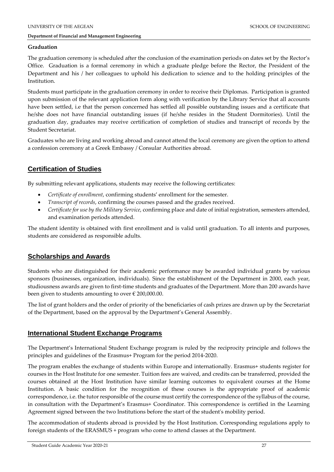# **Graduation**

The graduation ceremony is scheduled after the conclusion of the examination periods on dates set by the Rector's Office. Graduation is a formal ceremony in which a graduate pledge before the Rector, the President of the Department and his / her colleagues to uphold his dedication to science and to the holding principles of the Institution.

Students must participate in the graduation ceremony in order to receive their Diplomas. Participation is granted upon submission of the relevant application form along with verification by the Library Service that all accounts have been settled, i.e that the person concerned has settled all possible outstanding issues and a certificate that he/she does not have financial outstanding issues (if he/she resides in the Student Dormitories). Until the graduation day, graduates may receive certification of completion of studies and transcript of records by the Student Secretariat.

Graduates who are living and working abroad and cannot attend the local ceremony are given the option to attend a confession ceremony at a Greek Embassy / Consular Authorities abroad.

# **Certification of Studies**

By submitting relevant applications, students may receive the following certificates:

- *Certificate of enrollment*, confirming students' enrollment for the semester.
- *Transcript of records*, confirming the courses passed and the grades received.
- *Certificate for use by the Military Service*, confirming place and date of initial registration, semesters attended, and examination periods attended.

The student identity is obtained with first enrollment and is valid until graduation. To all intents and purposes, students are considered as responsible adults.

# **Scholarships and Awards**

Students who are distinguished for their academic performance may be awarded individual grants by various sponsors (businesses, organization, individuals). Since the establishment of the Department in 2000, each year, studiousness awards are given to first-time students and graduates of the Department. More than 200 awards have been given to students amounting to over  $\epsilon$  200,000.00.

The list of grant holders and the order of priority of the beneficiaries of cash prizes are drawn up by the Secretariat of the Department, based on the approval by the Department's General Assembly.

# **International Student Exchange Programs**

The Department's International Student Exchange program is ruled by the reciprocity principle and follows the principles and guidelines of the Erasmus+ Program for the period 2014-2020.

The program enables the exchange of students within Europe and internationally. Erasmus+ students register for courses in the Host Institute for one semester. Tuition fees are waived, and credits can be transferred, provided the courses obtained at the Host Institution have similar learning outcomes to equivalent courses at the Home Institution. A basic condition for the recognition of these courses is the appropriate proof of academic correspondence, i.e. the tutor responsible of the course must certify the correspondence of the syllabus of the course, in consultation with the Department's Erasmus+ Coordinator. This correspondence is certified in the Learning Agreement signed between the two Institutions before the start of the student's mobility period.

The accommodation of students abroad is provided by the Host Institution. Corresponding regulations apply to foreign students of the ERASMUS + program who come to attend classes at the Department.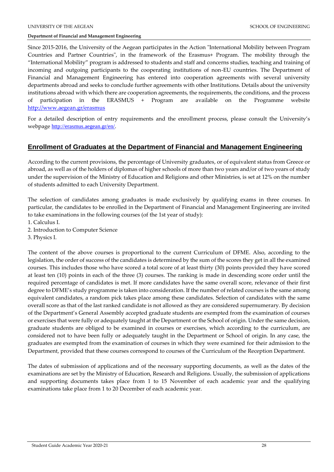Since 2015-2016, the University of the Aegean participates in the Action "International Mobility between Program Countries and Partner Countries", in the framework of the Erasmus+ Program. The mobility through the "International Mobility" program is addressed to students and staff and concerns studies, teaching and training of incoming and outgoing participants to the cooperating institutions of non-EU countries. The Department of Financial and Management Engineering has entered into cooperation agreements with several university departments abroad and seeks to conclude further agreements with other Institutions. Details about the university institutions abroad with which there are cooperation agreements, the requirements, the conditions, and the process of participation in the ERASMUS + Program are available on the Programme website <http://www.aegean.gr/erasmus>

For a detailed description of entry requirements and the enrollment process, please consult the University's webpage <http://erasmus.aegean.gr/en/>.

# **Enrollment of Graduates at the Department of Financial and Management Engineering**

According to the current provisions, the percentage of University graduates, or of equivalent status from Greece or abroad, as well as of the holders of diplomas of higher schools of more than two years and/or of two years of study under the supervision of the Ministry of Education and Religions and other Ministries, is set at 12% on the number of students admitted to each University Department.

The selection of candidates among graduates is made exclusively by qualifying exams in three courses. In particular, the candidates to be enrolled in the Department of Financial and Management Engineering are invited to take examinations in the following courses (of the 1st year of study):

- 1. Calculus I.
- 2. Introduction to Computer Science
- 3. Physics I.

The content of the above courses is proportional to the current Curriculum of DFME. Also, according to the legislation, the order of success of the candidates is determined by the sum of the scores they get in all the examined courses. This includes those who have scored a total score of at least thirty (30) points provided they have scored at least ten (10) points in each of the three (3) courses. The ranking is made in descending score order until the required percentage of candidates is met. If more candidates have the same overall score, relevance of their first degree to DFME's study programme is taken into consideration. If the number of related courses is the same among equivalent candidates, a random pick takes place among these candidates. Selection of candidates with the same overall score as that of the last ranked candidate is not allowed as they are considered supernumerary. By decision of the Department's General Assembly accepted graduate students are exempted from the examination of courses or exercises that were fully or adequately taught at the Department or the School of origin. Under the same decision, graduate students are obliged to be examined in courses or exercises, which according to the curriculum, are considered not to have been fully or adequately taught in the Department or School of origin. In any case, the graduates are exempted from the examination of courses in which they were examined for their admission to the Department, provided that these courses correspond to courses of the Curriculum of the Reception Department.

The dates of submission of applications and of the necessary supporting documents, as well as the dates of the examinations are set by the Ministry of Education, Research and Religions. Usually, the submission of applications and supporting documents takes place from 1 to 15 November of each academic year and the qualifying examinations take place from 1 to 20 December of each academic year.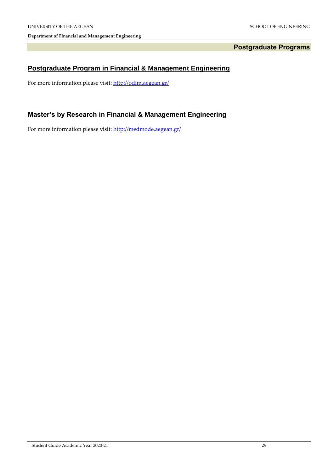# **Postgraduate Programs**

# **Postgraduate Program in Financial & Management Engineering**

For more information please visit: http://odim.aegean.gr/

# **Master's by Research in Financial & Management Engineering**

For more information please visit:<http://medmode.aegean.gr/>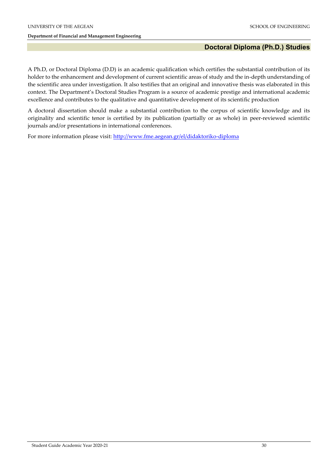# **Doctoral Diploma (Ph.D.) Studies**

A Ph.D, or Doctoral Diploma (D.D) is an academic qualification which certifies the substantial contribution of its holder to the enhancement and development of current scientific areas of study and the in-depth understanding of the scientific area under investigation. It also testifies that an original and innovative thesis was elaborated in this context. The Department's Doctoral Studies Program is a source of academic prestige and international academic excellence and contributes to the qualitative and quantitative development of its scientific production

A doctoral dissertation should make a substantial contribution to the corpus of scientific knowledge and its originality and scientific tenor is certified by its publication (partially or as whole) in peer-reviewed scientific journals and/or presentations in international conferences.

For more information please visit:<http://www.fme.aegean.gr/el/didaktoriko-diploma>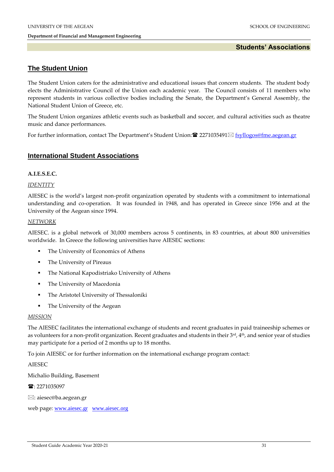# **Students' Associations**

# **The Student Union**

The Student Union caters for the administrative and educational issues that concern students. The student body elects the Administrative Council of the Union each academic year. The Council consists of 11 members who represent students in various collective bodies including the Senate, the Department's General Assembly, the National Student Union of Greece, etc.

The Student Union organizes athletic events such as basketball and soccer, and cultural activities such as theatre music and dance performances.

For further information, contact The Department's Student Union:  $\mathbf{\mathcal{C}}$  2271035491 $\boxtimes$  [fsyllogos@fme.aegean.gr](mailto:fsyllogos@fme.aegean.gr)

# **International Student Associations**

# **A.I.E.S.E.C.**

# *IDENTITY*

AIESEC is the world's largest non-profit organization operated by students with a commitment to international understanding and co-operation. It was founded in 1948, and has operated in Greece since 1956 and at the University of the Aegean since 1994.

# *NETWORK*

AIESEC. is a global network of 30,000 members across 5 continents, in 83 countries, at about 800 universities worldwide. In Greece the following universities have AIESEC sections:

- The University of Economics of Athens
- **The University of Pireaus**
- The National Kapodistriako University of Athens
- **The University of Macedonia**
- The Aristotel University of Thessaloniki
- The University of the Aegean

#### *MISSION*

The AIESEC facilitates the international exchange of students and recent graduates in paid traineeship schemes or as volunteers for a non-profit organization. Recent graduates and students in their  $3rd$ ,  $4th$ , and senior year of studies may participate for a period of 2 months up to 18 months.

To join AIESEC or for further information on the international exchange program contact:

AIESEC

Michalio Building, Basement

■: 2271035097

: aiesec@ba.aegean.gr

web page: [www.aiesec.gr](http://www.aiesec.gr/) [www.aiesec.org](http://www.aiesec.org/)